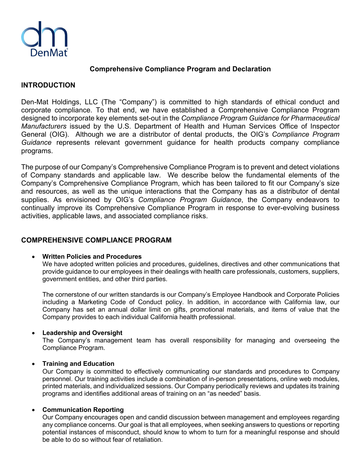

## **Comprehensive Compliance Program and Declaration**

## **INTRODUCTION**

Den-Mat Holdings, LLC (The "Company") is committed to high standards of ethical conduct and corporate compliance. To that end, we have established a Comprehensive Compliance Program designed to incorporate key elements set-out in the *Compliance Program Guidance for Pharmaceutical Manufacturers* issued by the U.S. Department of Health and Human Services Office of Inspector General (OIG). Although we are a distributor of dental products, the OIG's *Compliance Program Guidance* represents relevant government guidance for health products company compliance programs.

The purpose of our Company's Comprehensive Compliance Program is to prevent and detect violations of Company standards and applicable law. We describe below the fundamental elements of the Company's Comprehensive Compliance Program, which has been tailored to fit our Company's size and resources, as well as the unique interactions that the Company has as a distributor of dental supplies. As envisioned by OIG's *Compliance Program Guidance*, the Company endeavors to continually improve its Comprehensive Compliance Program in response to ever-evolving business activities, applicable laws, and associated compliance risks.

# **COMPREHENSIVE COMPLIANCE PROGRAM**

### • **Written Policies and Procedures**

We have adopted written policies and procedures, guidelines, directives and other communications that provide guidance to our employees in their dealings with health care professionals, customers, suppliers, government entities, and other third parties.

The cornerstone of our written standards is our Company's Employee Handbook and Corporate Policies including a Marketing Code of Conduct policy. In addition, in accordance with California law, our Company has set an annual dollar limit on gifts, promotional materials, and items of value that the Company provides to each individual California health professional.

#### • **Leadership and Oversight**

The Company's management team has overall responsibility for managing and overseeing the Compliance Program.

#### • **Training and Education**

Our Company is committed to effectively communicating our standards and procedures to Company personnel. Our training activities include a combination of in-person presentations, online web modules, printed materials, and individualized sessions. Our Company periodically reviews and updates its training programs and identifies additional areas of training on an "as needed" basis.

#### • **Communication Reporting**

Our Company encourages open and candid discussion between management and employees regarding any compliance concerns. Our goal is that all employees, when seeking answers to questions or reporting potential instances of misconduct, should know to whom to turn for a meaningful response and should be able to do so without fear of retaliation.